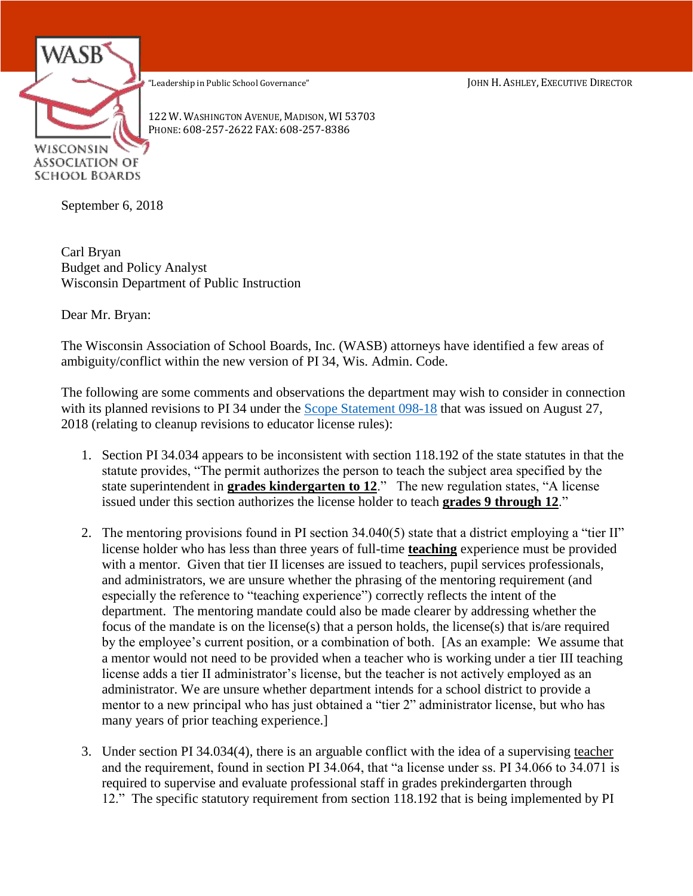"Leadership in Public School Governance" JOHN H. ASHLEY, EXECUTIVE DIRECTOR



122 W. WASHINGTON AVENUE, MADISON, WI 53703 PHONE: 608-257-2622 FAX: 608-257-8386

September 6, 2018

Carl Bryan Budget and Policy Analyst Wisconsin Department of Public Instruction

Dear Mr. Bryan:

The Wisconsin Association of School Boards, Inc. (WASB) attorneys have identified a few areas of ambiguity/conflict within the new version of PI 34, Wis. Admin. Code.

The following are some comments and observations the department may wish to consider in connection with its planned revisions to PI 34 under the [Scope Statement 098-18](https://docs.legis.wisconsin.gov/code/scope_statements/all/098_18) that was issued on August 27, 2018 (relating to cleanup revisions to educator license rules):

- 1. Section PI 34.034 appears to be inconsistent with section 118.192 of the state statutes in that the statute provides, "The permit authorizes the person to teach the subject area specified by the state superintendent in **grades kindergarten to 12**." The new regulation states, "A license issued under this section authorizes the license holder to teach **grades 9 through 12**."
- 2. The mentoring provisions found in PI section 34.040(5) state that a district employing a "tier II" license holder who has less than three years of full-time **teaching** experience must be provided with a mentor. Given that tier II licenses are issued to teachers, pupil services professionals, and administrators, we are unsure whether the phrasing of the mentoring requirement (and especially the reference to "teaching experience") correctly reflects the intent of the department. The mentoring mandate could also be made clearer by addressing whether the focus of the mandate is on the license(s) that a person holds, the license(s) that is/are required by the employee's current position, or a combination of both. [As an example: We assume that a mentor would not need to be provided when a teacher who is working under a tier III teaching license adds a tier II administrator's license, but the teacher is not actively employed as an administrator. We are unsure whether department intends for a school district to provide a mentor to a new principal who has just obtained a "tier 2" administrator license, but who has many years of prior teaching experience.]
- 3. Under section PI 34.034(4), there is an arguable conflict with the idea of a supervising teacher and the requirement, found in section PI 34.064, that "a license under ss. PI 34.066 to 34.071 is required to supervise and evaluate professional staff in grades prekindergarten through 12." The specific statutory requirement from section 118.192 that is being implemented by PI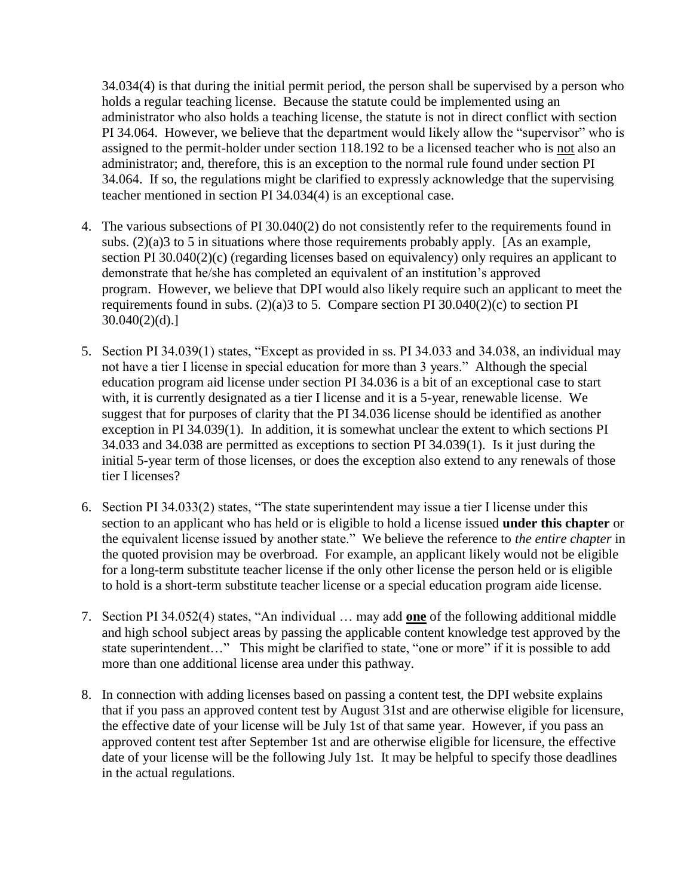34.034(4) is that during the initial permit period, the person shall be supervised by a person who holds a regular teaching license. Because the statute could be implemented using an administrator who also holds a teaching license, the statute is not in direct conflict with section PI 34.064. However, we believe that the department would likely allow the "supervisor" who is assigned to the permit-holder under section 118.192 to be a licensed teacher who is not also an administrator; and, therefore, this is an exception to the normal rule found under section PI 34.064. If so, the regulations might be clarified to expressly acknowledge that the supervising teacher mentioned in section PI 34.034(4) is an exceptional case.

- 4. The various subsections of PI 30.040(2) do not consistently refer to the requirements found in subs.  $(2)(a)$ 3 to 5 in situations where those requirements probably apply. [As an example, section PI 30.040(2)(c) (regarding licenses based on equivalency) only requires an applicant to demonstrate that he/she has completed an equivalent of an institution's approved program. However, we believe that DPI would also likely require such an applicant to meet the requirements found in subs.  $(2)(a)3$  to 5. Compare section PI 30.040 $(2)(c)$  to section PI  $30.040(2)(d).$ ]
- 5. Section PI 34.039(1) states, "Except as provided in ss. PI 34.033 and 34.038, an individual may not have a tier I license in special education for more than 3 years." Although the special education program aid license under section PI 34.036 is a bit of an exceptional case to start with, it is currently designated as a tier I license and it is a 5-year, renewable license. We suggest that for purposes of clarity that the PI 34.036 license should be identified as another exception in PI 34.039(1). In addition, it is somewhat unclear the extent to which sections PI 34.033 and 34.038 are permitted as exceptions to section PI 34.039(1). Is it just during the initial 5-year term of those licenses, or does the exception also extend to any renewals of those tier I licenses?
- 6. Section PI 34.033(2) states, "The state superintendent may issue a tier I license under this section to an applicant who has held or is eligible to hold a license issued **under this chapter** or the equivalent license issued by another state." We believe the reference to *the entire chapter* in the quoted provision may be overbroad. For example, an applicant likely would not be eligible for a long-term substitute teacher license if the only other license the person held or is eligible to hold is a short-term substitute teacher license or a special education program aide license.
- 7. Section PI 34.052(4) states, "An individual … may add **one** of the following additional middle and high school subject areas by passing the applicable content knowledge test approved by the state superintendent…" This might be clarified to state, "one or more" if it is possible to add more than one additional license area under this pathway.
- 8. In connection with adding licenses based on passing a content test, the DPI website explains that if you pass an approved content test by August 31st and are otherwise eligible for licensure, the effective date of your license will be July 1st of that same year. However, if you pass an approved content test after September 1st and are otherwise eligible for licensure, the effective date of your license will be the following July 1st. It may be helpful to specify those deadlines in the actual regulations.